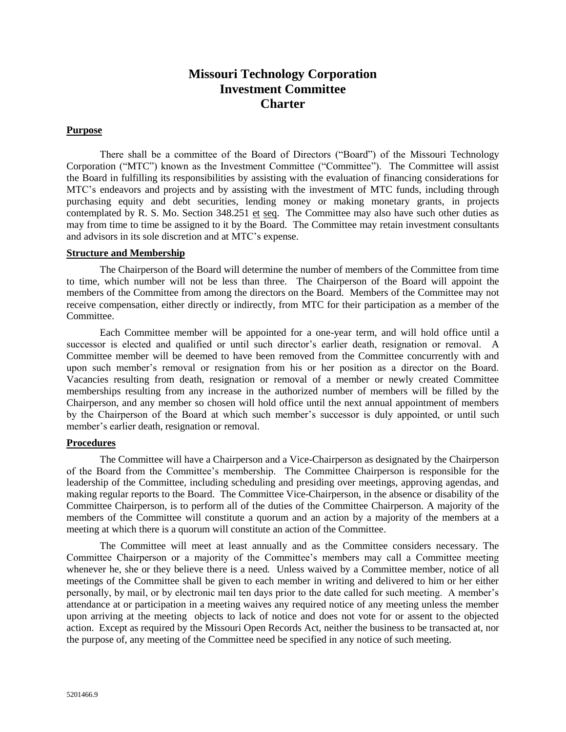# **Missouri Technology Corporation Investment Committee Charter**

## **Purpose**

There shall be a committee of the Board of Directors ("Board") of the Missouri Technology Corporation ("MTC") known as the Investment Committee ("Committee"). The Committee will assist the Board in fulfilling its responsibilities by assisting with the evaluation of financing considerations for MTC's endeavors and projects and by assisting with the investment of MTC funds, including through purchasing equity and debt securities, lending money or making monetary grants, in projects contemplated by R. S. Mo. Section 348.251 et seq. The Committee may also have such other duties as may from time to time be assigned to it by the Board. The Committee may retain investment consultants and advisors in its sole discretion and at MTC's expense.

#### **Structure and Membership**

The Chairperson of the Board will determine the number of members of the Committee from time to time, which number will not be less than three. The Chairperson of the Board will appoint the members of the Committee from among the directors on the Board. Members of the Committee may not receive compensation, either directly or indirectly, from MTC for their participation as a member of the Committee.

Each Committee member will be appointed for a one-year term, and will hold office until a successor is elected and qualified or until such director's earlier death, resignation or removal. A Committee member will be deemed to have been removed from the Committee concurrently with and upon such member's removal or resignation from his or her position as a director on the Board. Vacancies resulting from death, resignation or removal of a member or newly created Committee memberships resulting from any increase in the authorized number of members will be filled by the Chairperson, and any member so chosen will hold office until the next annual appointment of members by the Chairperson of the Board at which such member's successor is duly appointed, or until such member's earlier death, resignation or removal.

### **Procedures**

The Committee will have a Chairperson and a Vice-Chairperson as designated by the Chairperson of the Board from the Committee's membership. The Committee Chairperson is responsible for the leadership of the Committee, including scheduling and presiding over meetings, approving agendas, and making regular reports to the Board. The Committee Vice-Chairperson, in the absence or disability of the Committee Chairperson, is to perform all of the duties of the Committee Chairperson. A majority of the members of the Committee will constitute a quorum and an action by a majority of the members at a meeting at which there is a quorum will constitute an action of the Committee.

The Committee will meet at least annually and as the Committee considers necessary. The Committee Chairperson or a majority of the Committee's members may call a Committee meeting whenever he, she or they believe there is a need. Unless waived by a Committee member, notice of all meetings of the Committee shall be given to each member in writing and delivered to him or her either personally, by mail, or by electronic mail ten days prior to the date called for such meeting. A member's attendance at or participation in a meeting waives any required notice of any meeting unless the member upon arriving at the meeting objects to lack of notice and does not vote for or assent to the objected action. Except as required by the Missouri Open Records Act, neither the business to be transacted at, nor the purpose of, any meeting of the Committee need be specified in any notice of such meeting.